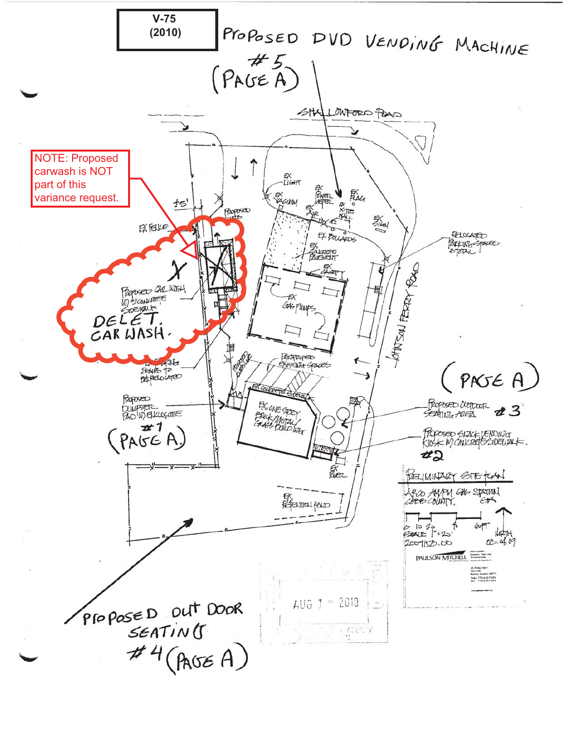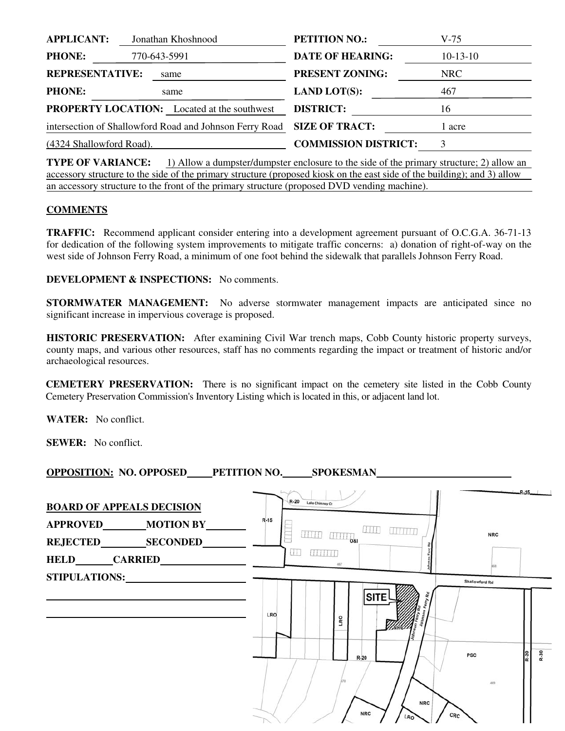| <b>APPLICANT:</b>        | Jonathan Khoshnood                                      | <b>PETITION NO.:</b>  |                             | $V-75$     |
|--------------------------|---------------------------------------------------------|-----------------------|-----------------------------|------------|
| <b>PHONE:</b>            | 770-643-5991                                            |                       | <b>DATE OF HEARING:</b>     | $10-13-10$ |
| <b>REPRESENTATIVE:</b>   | same                                                    |                       | <b>PRESENT ZONING:</b>      | <b>NRC</b> |
| <b>PHONE:</b>            | same                                                    | <b>LAND LOT(S):</b>   |                             | 467        |
|                          | <b>PROPERTY LOCATION:</b> Located at the southwest      | <b>DISTRICT:</b>      |                             | 16         |
|                          | intersection of Shallowford Road and Johnson Ferry Road | <b>SIZE OF TRACT:</b> |                             | 1 acre     |
| (4324 Shallowford Road). |                                                         |                       | <b>COMMISSION DISTRICT:</b> |            |

**TYPE OF VARIANCE:** 1) Allow a dumpster/dumpster enclosure to the side of the primary structure; 2) allow an accessory structure to the side of the primary structure (proposed kiosk on the east side of the building); and 3) allow an accessory structure to the front of the primary structure (proposed DVD vending machine).

## **COMMENTS**

**TRAFFIC:** Recommend applicant consider entering into a development agreement pursuant of O.C.G.A. 36-71-13 for dedication of the following system improvements to mitigate traffic concerns: a) donation of right-of-way on the west side of Johnson Ferry Road, a minimum of one foot behind the sidewalk that parallels Johnson Ferry Road.

**DEVELOPMENT & INSPECTIONS:** No comments.

**STORMWATER MANAGEMENT:** No adverse stormwater management impacts are anticipated since no significant increase in impervious coverage is proposed.

**HISTORIC PRESERVATION:** After examining Civil War trench maps, Cobb County historic property surveys, county maps, and various other resources, staff has no comments regarding the impact or treatment of historic and/or archaeological resources.

**CEMETERY PRESERVATION:** There is no significant impact on the cemetery site listed in the Cobb County Cemetery Preservation Commission's Inventory Listing which is located in this, or adjacent land lot.

**WATER:** No conflict.

**SEWER:** No conflict.

**OPPOSITION: NO. OPPOSED PETITION NO. SPOKESMAN** 

| <b>BOARD OF APPEALS DECISION</b>                                       | R-20 Lake Chimney Ct<br>$R-15$ |                                                         |                                                    |                | $R-15$ |
|------------------------------------------------------------------------|--------------------------------|---------------------------------------------------------|----------------------------------------------------|----------------|--------|
| APPROVED________MOTION BY_<br>REJECTED SECONDED<br><b>HELD CARRIED</b> | 11111<br>u                     | $+1111$<br><b>FITTINI</b><br>11111<br>081<br>88 88 88 8 |                                                    | <b>NRC</b>     |        |
| STIPULATIONS:                                                          | <b>LRO</b>                     | <b>SITE</b><br>LRO<br>NRC.                              |                                                    | Shallowford Rd |        |
|                                                                        |                                | $R-20$<br><b>NRC</b>                                    | <b>PSC</b><br><b>NRC</b><br>CRC<br>LR <sub>O</sub> | 469            | R-30   |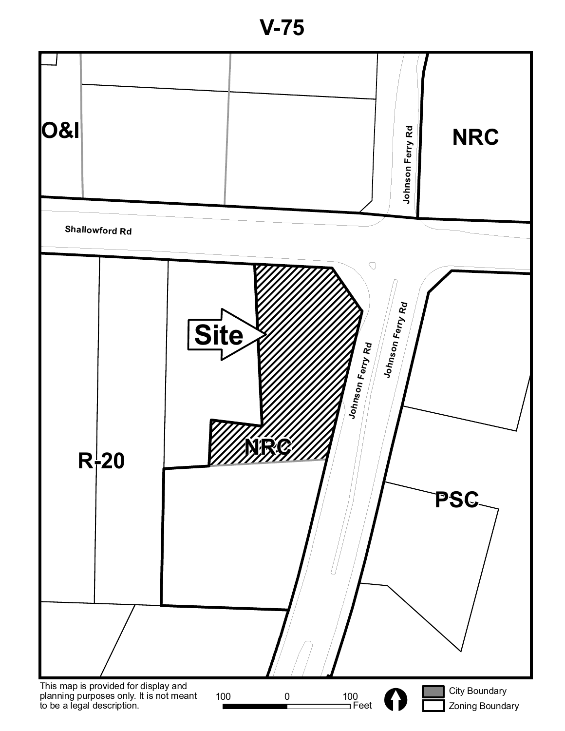**V-75**

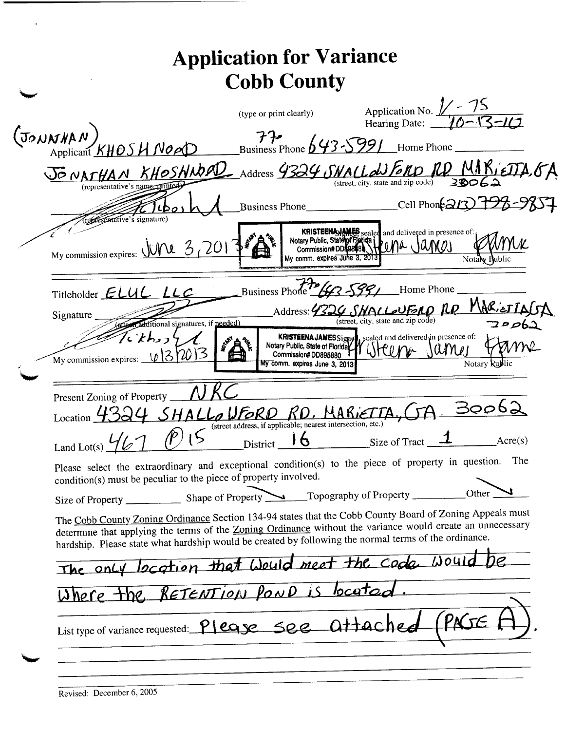|                                                                                                                                                                                                                                                                                                                                 | <b>Cobb County</b>                                                                      |                                                                                                                       |
|---------------------------------------------------------------------------------------------------------------------------------------------------------------------------------------------------------------------------------------------------------------------------------------------------------------------------------|-----------------------------------------------------------------------------------------|-----------------------------------------------------------------------------------------------------------------------|
|                                                                                                                                                                                                                                                                                                                                 | (type or print clearly)                                                                 | Application No. $\frac{1}{10}$ - 15<br>Hearing Date: $\frac{10-13-11}{1}$                                             |
| $(\text{J}_\text{OMNMAM})$<br>Applicant KHOSH NOOD                                                                                                                                                                                                                                                                              |                                                                                         | $77$<br>Business Phone $643-5991$ Home Phone                                                                          |
| JONATHAN KHOSHNOOD Address 4324 SWALL WERD RD MARIEDTA, GA                                                                                                                                                                                                                                                                      |                                                                                         | (street, city, state and zip code)                                                                                    |
| (representative's name-<br>recreantative's signature                                                                                                                                                                                                                                                                            |                                                                                         | Business Phone________________Cell Phon $\approx$ 13) 798-98                                                          |
| My commission expires: $\sqrt{W^2/3}$ (201                                                                                                                                                                                                                                                                                      | My comm. expires June 3, 201                                                            | KRISTEENAJAMES, sealed and delivered in presence of:<br>Notary Public, State of Fights Level 4 James<br>Notaly Public |
| Titleholder $E LUL$ $LLC$                                                                                                                                                                                                                                                                                                       | Business Phone 263-5991                                                                 | Home Phone                                                                                                            |
| Signature<br>additional signatures, if needed)                                                                                                                                                                                                                                                                                  |                                                                                         | Address: 4324 SHALLOVEAD RD MARIETTAGA<br>(street, city, state and zip code)<br><u> جوکوم 7</u>                       |
| くとわっつ<br>My commission expires: $\sqrt{3/20}$ 3                                                                                                                                                                                                                                                                                 | Notary Public, State of Florida<br>Commission#DD895880<br>My comm. expires June 3, 2013 | KRISTEENA JAMESSigner, sealed and delivered in presence of:<br>$\mathcal{U}$ n $\mathcal{V}$ l<br>Notary Rublic       |
| Present Zoning of Property                                                                                                                                                                                                                                                                                                      |                                                                                         |                                                                                                                       |
| Location $\overline{\phantom{a}}$                                                                                                                                                                                                                                                                                               | SHALLOWFORD RD. MARIETTA<br>(street address, if applicable; nearest intersection, etc.) | 30062                                                                                                                 |
| Land Lot(s) $\frac{1}{2}$ (P) 15 District 16 Size of Tract 1                                                                                                                                                                                                                                                                    |                                                                                         | $\angle$ Acre(s)                                                                                                      |
| Please select the extraordinary and exceptional condition(s) to the piece of property in question. The<br>condition(s) must be peculiar to the piece of property involved.                                                                                                                                                      |                                                                                         |                                                                                                                       |
|                                                                                                                                                                                                                                                                                                                                 |                                                                                         | Other $\Box$                                                                                                          |
| The Cobb County Zoning Ordinance Section 134-94 states that the Cobb County Board of Zoning Appeals must<br>determine that applying the terms of the Zoning Ordinance without the variance would create an unnecessary<br>hardship. Please state what hardship would be created by following the normal terms of the ordinance. |                                                                                         |                                                                                                                       |
| The only location that Would meet the code would be                                                                                                                                                                                                                                                                             |                                                                                         |                                                                                                                       |
| Where the RETENTION POND is located.                                                                                                                                                                                                                                                                                            |                                                                                         |                                                                                                                       |
|                                                                                                                                                                                                                                                                                                                                 |                                                                                         | List type of variance requested: Please see attached (PNSE F                                                          |

 $\ddot{\phantom{a}}$